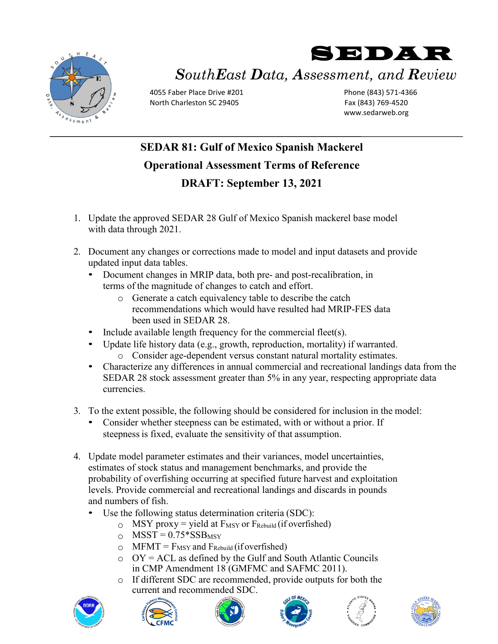

## SEDAR *SouthEast Data, Assessment, and Review*

4055 Faber Place Drive #201 North Charleston SC 29405

Phone (843) 571-4366 Fax (843) 769-4520 www.sedarweb.org

## **SEDAR 81: Gulf of Mexico Spanish Mackerel Operational Assessment Terms of Reference DRAFT: September 13, 2021**

- 1. Update the approved SEDAR 28 Gulf of Mexico Spanish mackerel base model with data through 2021.
- 2. Document any changes or corrections made to model and input datasets and provide updated input data tables.
	- Document changes in MRIP data, both pre- and post-recalibration, in terms of the magnitude of changes to catch and effort.
		- o Generate a catch equivalency table to describe the catch recommendations which would have resulted had MRIP-FES data been used in SEDAR 28.
	- Include available length frequency for the commercial fleet(s).
	- Update life history data (e.g., growth, reproduction, mortality) if warranted.
		- o Consider age-dependent versus constant natural mortality estimates.
	- Characterize any differences in annual commercial and recreational landings data from the SEDAR 28 stock assessment greater than 5% in any year, respecting appropriate data currencies.
- 3. To the extent possible, the following should be considered for inclusion in the model:
	- Consider whether steepness can be estimated, with or without a prior. If steepness is fixed, evaluate the sensitivity of that assumption.
- 4. Update model parameter estimates and their variances, model uncertainties, estimates of stock status and management benchmarks, and provide the probability of overfishing occurring at specified future harvest and exploitation levels. Provide commercial and recreational landings and discards in pounds and numbers of fish.
	- Use the following status determination criteria (SDC):
		- $\circ$  MSY proxy = yield at F<sub>MSY</sub> or F<sub>Rebuild</sub> (if overfished)
		- $\circ$  MSST = 0.75\*SSB<sub>MSY</sub>
		- $\circ$  MFMT = F<sub>MSY</sub> and F<sub>Rebuild</sub> (if overfished)
		- $\circ$  OY = ACL as defined by the Gulf and South Atlantic Councils in CMP Amendment 18 (GMFMC and SAFMC 2011).
		- o If different SDC are recommended, provide outputs for both the current and recommended SDC.